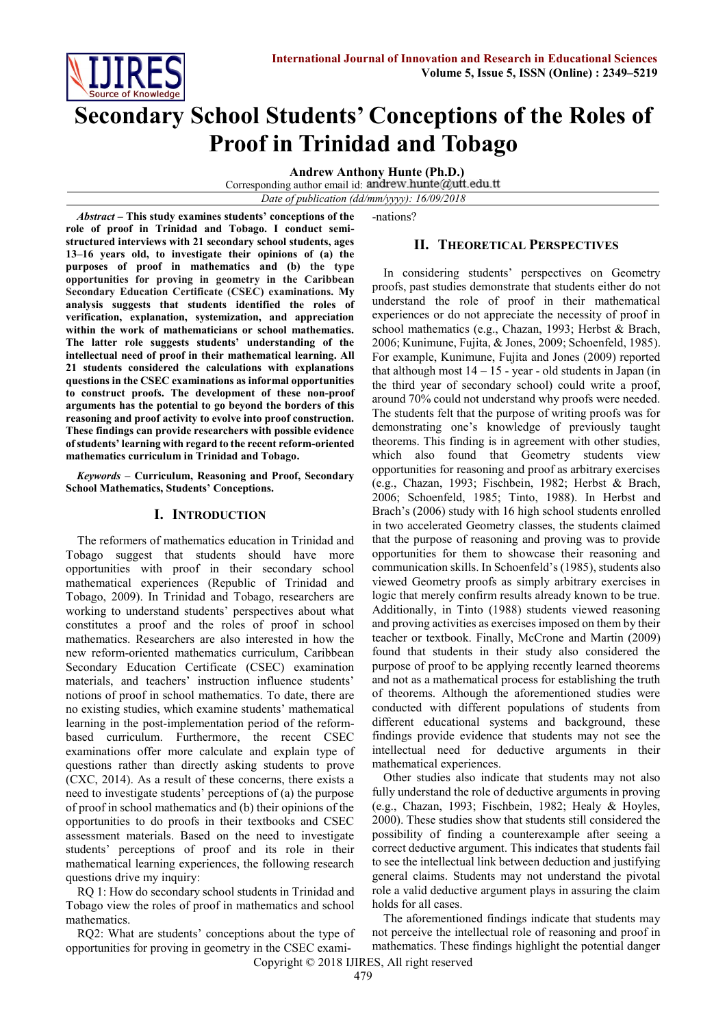

# **Secondary School Students' Conceptions of the Roles of Proof in Trinidad and Tobago**

**Andrew Anthony Hunte (Ph.D.)** 

Corresponding author email id: andrew.hunte@utt.edu.tt

*Date of publication (dd/mm/yyyy): 16/09/2018*

*Abstract* **– This study examines students' conceptions of the role of proof in Trinidad and Tobago. I conduct semistructured interviews with 21 secondary school students, ages 13–16 years old, to investigate their opinions of (a) the purposes of proof in mathematics and (b) the type opportunities for proving in geometry in the Caribbean Secondary Education Certificate (CSEC) examinations. My analysis suggests that students identified the roles of verification, explanation, systemization, and appreciation within the work of mathematicians or school mathematics. The latter role suggests students' understanding of the intellectual need of proof in their mathematical learning. All 21 students considered the calculations with explanations questions in the CSEC examinations as informal opportunities to construct proofs. The development of these non-proof arguments has the potential to go beyond the borders of this reasoning and proof activity to evolve into proof construction. These findings can provide researchers with possible evidence of students' learning with regard to the recent reform-oriented mathematics curriculum in Trinidad and Tobago.**

*Keywords* **– Curriculum, Reasoning and Proof, Secondary School Mathematics, Students' Conceptions.** 

# **I. INTRODUCTION**

The reformers of mathematics education in Trinidad and Tobago suggest that students should have more opportunities with proof in their secondary school mathematical experiences (Republic of Trinidad and Tobago, 2009). In Trinidad and Tobago, researchers are working to understand students' perspectives about what constitutes a proof and the roles of proof in school mathematics. Researchers are also interested in how the new reform-oriented mathematics curriculum, Caribbean Secondary Education Certificate (CSEC) examination materials, and teachers' instruction influence students' notions of proof in school mathematics. To date, there are no existing studies, which examine students' mathematical learning in the post-implementation period of the reformbased curriculum. Furthermore, the recent CSEC examinations offer more calculate and explain type of questions rather than directly asking students to prove (CXC, 2014). As a result of these concerns, there exists a need to investigate students' perceptions of (a) the purpose of proof in school mathematics and (b) their opinions of the opportunities to do proofs in their textbooks and CSEC assessment materials. Based on the need to investigate students' perceptions of proof and its role in their mathematical learning experiences, the following research questions drive my inquiry:

RQ 1: How do secondary school students in Trinidad and Tobago view the roles of proof in mathematics and school mathematics.

RQ2: What are students' conceptions about the type of opportunities for proving in geometry in the CSEC exami-nations?

# **II. THEORETICAL PERSPECTIVES**

In considering students' perspectives on Geometry proofs, past studies demonstrate that students either do not understand the role of proof in their mathematical experiences or do not appreciate the necessity of proof in school mathematics (e.g., Chazan, 1993; Herbst & Brach, 2006; Kunimune, Fujita, & Jones, 2009; Schoenfeld, 1985). For example, Kunimune, Fujita and Jones (2009) reported that although most  $14 - 15$  - year - old students in Japan (in the third year of secondary school) could write a proof, around 70% could not understand why proofs were needed. The students felt that the purpose of writing proofs was for demonstrating one's knowledge of previously taught theorems. This finding is in agreement with other studies, which also found that Geometry students view opportunities for reasoning and proof as arbitrary exercises (e.g., Chazan, 1993; Fischbein, 1982; Herbst & Brach, 2006; Schoenfeld, 1985; Tinto, 1988). In Herbst and Brach's (2006) study with 16 high school students enrolled in two accelerated Geometry classes, the students claimed that the purpose of reasoning and proving was to provide opportunities for them to showcase their reasoning and communication skills. In Schoenfeld's (1985), students also viewed Geometry proofs as simply arbitrary exercises in logic that merely confirm results already known to be true. Additionally, in Tinto (1988) students viewed reasoning and proving activities as exercises imposed on them by their teacher or textbook. Finally, McCrone and Martin (2009) found that students in their study also considered the purpose of proof to be applying recently learned theorems and not as a mathematical process for establishing the truth of theorems. Although the aforementioned studies were conducted with different populations of students from different educational systems and background, these findings provide evidence that students may not see the intellectual need for deductive arguments in their mathematical experiences.

Other studies also indicate that students may not also fully understand the role of deductive arguments in proving (e.g., Chazan, 1993; Fischbein, 1982; Healy & Hoyles, 2000). These studies show that students still considered the possibility of finding a counterexample after seeing a correct deductive argument. This indicates that students fail to see the intellectual link between deduction and justifying general claims. Students may not understand the pivotal role a valid deductive argument plays in assuring the claim holds for all cases.

The aforementioned findings indicate that students may not perceive the intellectual role of reasoning and proof in mathematics. These findings highlight the potential danger

Copyright © 2018 IJIRES, All right reserved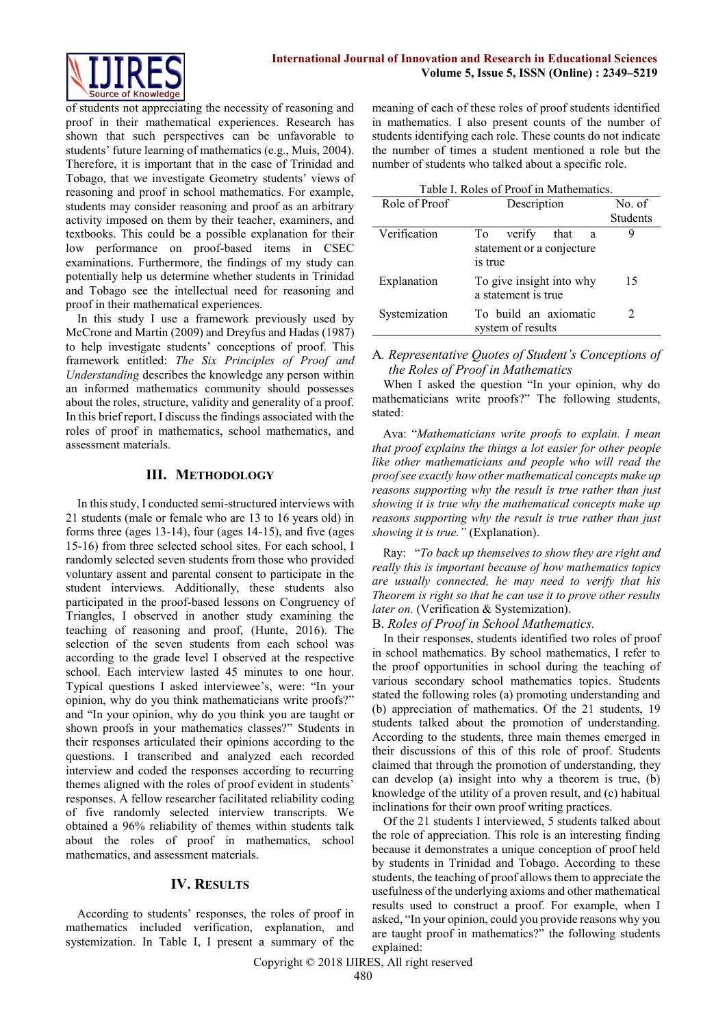

of students not appreciating the necessity of reasoning and proof in their mathematical experiences. Research has shown that such perspectives can be unfavorable to students' future learning of mathematics (e.g., Muis, 2004). Therefore, it is important that in the case of Trinidad and Tobago, that we investigate Geometry students' views of reasoning and proof in school mathematics. For example, students may consider reasoning and proof as an arbitrary activity imposed on them by their teacher, examiners, and textbooks. This could be a possible explanation for their low performance on proof-based items in CSEC examinations. Furthermore, the findings of my study can potentially help us determine whether students in Trinidad and Tobago see the intellectual need for reasoning and proof in their mathematical experiences.

In this study I use a framework previously used by McCrone and Martin (2009) and Dreyfus and Hadas (1987) to help investigate students' conceptions of proof. This framework entitled: *The Six Principles of Proof and Understanding* describes the knowledge any person within an informed mathematics community should possesses about the roles, structure, validity and generality of a proof. In this brief report, I discuss the findings associated with the roles of proof in mathematics, school mathematics, and assessment materials.

### **III. METHODOLOGY**

In this study, I conducted semi-structured interviews with 21 students (male or female who are 13 to 16 years old) in forms three (ages 13-14), four (ages 14-15), and five (ages 15-16) from three selected school sites. For each school, I randomly selected seven students from those who provided voluntary assent and parental consent to participate in the student interviews. Additionally, these students also participated in the proof-based lessons on Congruency of Triangles, I observed in another study examining the teaching of reasoning and proof, (Hunte, 2016). The selection of the seven students from each school was according to the grade level I observed at the respective school. Each interview lasted 45 minutes to one hour. Typical questions I asked interviewee's, were: "In your opinion, why do you think mathematicians write proofs?" and "In your opinion, why do you think you are taught or shown proofs in your mathematics classes?" Students in their responses articulated their opinions according to the questions. I transcribed and analyzed each recorded interview and coded the responses according to recurring themes aligned with the roles of proof evident in students' responses. A fellow researcher facilitated reliability coding of five randomly selected interview transcripts. We obtained a 96% reliability of themes within students talk about the roles of proof in mathematics, school mathematics, and assessment materials.

## **IV. RESULTS**

According to students' responses, the roles of proof in mathematics included verification, explanation, and systemization. In Table I, I present a summary of the meaning of each of these roles of proof students identified in mathematics. I also present counts of the number of students identifying each role. These counts do not indicate the number of times a student mentioned a role but the number of students who talked about a specific role.

| Table I. Roles of Proof in Mathematics. |                                                                   |                             |
|-----------------------------------------|-------------------------------------------------------------------|-----------------------------|
| Role of Proof                           | Description                                                       | No. of                      |
|                                         |                                                                   | <b>Students</b>             |
| Verification                            | verify<br>that<br>Тo<br>a<br>statement or a conjecture<br>is true | Q                           |
| Explanation                             | To give insight into why<br>a statement is true                   | 15                          |
| Systemization                           | To build an axiomatic<br>system of results                        | $\mathcal{D}_{\mathcal{L}}$ |

#### A*. Representative Quotes of Student's Conceptions of the Roles of Proof in Mathematics*

When I asked the question "In your opinion, why do mathematicians write proofs?" The following students, stated:

Ava: "*Mathematicians write proofs to explain. I mean that proof explains the things a lot easier for other people like other mathematicians and people who will read the proof see exactly how other mathematical concepts make up reasons supporting why the result is true rather than just showing it is true why the mathematical concepts make up reasons supporting why the result is true rather than just showing it is true."* (Explanation).

Ray: "*To back up themselves to show they are right and really this is important because of how mathematics topics are usually connected, he may need to verify that his Theorem is right so that he can use it to prove other results later on.* (Verification & Systemization).

B. *Roles of Proof in School Mathematics.*

In their responses, students identified two roles of proof in school mathematics. By school mathematics, I refer to the proof opportunities in school during the teaching of various secondary school mathematics topics. Students stated the following roles (a) promoting understanding and (b) appreciation of mathematics. Of the 21 students, 19 students talked about the promotion of understanding. According to the students, three main themes emerged in their discussions of this of this role of proof. Students claimed that through the promotion of understanding, they can develop (a) insight into why a theorem is true, (b) knowledge of the utility of a proven result, and (c) habitual inclinations for their own proof writing practices.

Of the 21 students I interviewed, 5 students talked about the role of appreciation. This role is an interesting finding because it demonstrates a unique conception of proof held by students in Trinidad and Tobago. According to these students, the teaching of proof allows them to appreciate the usefulness of the underlying axioms and other mathematical results used to construct a proof. For example, when I asked, "In your opinion, could you provide reasons why you are taught proof in mathematics?" the following students explained: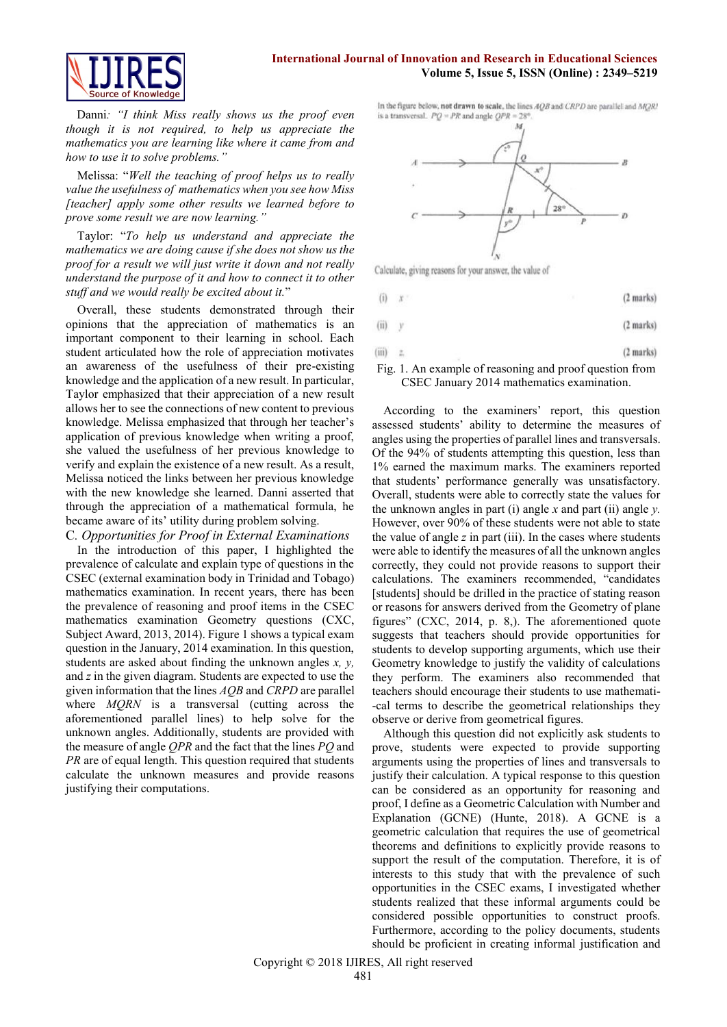#### **International Journal of Innovation and Research in Educational Sciences Volume 5, Issue 5, ISSN (Online) : 2349–5219**



Danni*: "I think Miss really shows us the proof even though it is not required, to help us appreciate the mathematics you are learning like where it came from and how to use it to solve problems."*

Melissa: "*Well the teaching of proof helps us to really value the usefulness of mathematics when you see how Miss [teacher] apply some other results we learned before to prove some result we are now learning."*

Taylor: "*To help us understand and appreciate the mathematics we are doing cause if she does not show us the proof for a result we will just write it down and not really understand the purpose of it and how to connect it to other stuff and we would really be excited about it.*"

Overall, these students demonstrated through their opinions that the appreciation of mathematics is an important component to their learning in school. Each student articulated how the role of appreciation motivates an awareness of the usefulness of their pre-existing knowledge and the application of a new result. In particular, Taylor emphasized that their appreciation of a new result allows her to see the connections of new content to previous knowledge. Melissa emphasized that through her teacher's application of previous knowledge when writing a proof, she valued the usefulness of her previous knowledge to verify and explain the existence of a new result. As a result, Melissa noticed the links between her previous knowledge with the new knowledge she learned. Danni asserted that through the appreciation of a mathematical formula, he became aware of its' utility during problem solving.

C*. Opportunities for Proof in External Examinations*

In the introduction of this paper, I highlighted the prevalence of calculate and explain type of questions in the CSEC (external examination body in Trinidad and Tobago) mathematics examination. In recent years, there has been the prevalence of reasoning and proof items in the CSEC mathematics examination Geometry questions (CXC, Subject Award, 2013, 2014). Figure 1 shows a typical exam question in the January, 2014 examination. In this question, students are asked about finding the unknown angles *x, y,* and *z* in the given diagram. Students are expected to use the given information that the lines *AQB* and *CRPD* are parallel where *MQRN* is a transversal (cutting across the aforementioned parallel lines) to help solve for the unknown angles. Additionally, students are provided with the measure of angle *QPR* and the fact that the lines *PQ* and *PR* are of equal length. This question required that students calculate the unknown measures and provide reasons justifying their computations.

In the figure below, not drawn to scale, the lines AQB and CRPD are parallel and MQRI is a transversal.  $PQ = PR$  and angle  $QPR = 28^{\circ}$ 



Calculate, giving reasons for your answer, the value of

 $(2 marks)$  $(i)$ 

 $(ii)$ (2 marks)  $\mathbf{v}$ 

$$
(iii) \t z. \t(2 marks)
$$

Fig. 1. An example of reasoning and proof question from CSEC January 2014 mathematics examination.

According to the examiners' report, this question assessed students' ability to determine the measures of angles using the properties of parallel lines and transversals. Of the 94% of students attempting this question, less than 1% earned the maximum marks. The examiners reported that students' performance generally was unsatisfactory. Overall, students were able to correctly state the values for the unknown angles in part (i) angle *x* and part (ii) angle *y.*  However, over 90% of these students were not able to state the value of angle *z* in part (iii). In the cases where students were able to identify the measures of all the unknown angles correctly, they could not provide reasons to support their calculations. The examiners recommended, "candidates [students] should be drilled in the practice of stating reason or reasons for answers derived from the Geometry of plane figures" (CXC, 2014, p. 8,). The aforementioned quote suggests that teachers should provide opportunities for students to develop supporting arguments, which use their Geometry knowledge to justify the validity of calculations they perform. The examiners also recommended that teachers should encourage their students to use mathemati- -cal terms to describe the geometrical relationships they observe or derive from geometrical figures.

Although this question did not explicitly ask students to prove, students were expected to provide supporting arguments using the properties of lines and transversals to justify their calculation. A typical response to this question can be considered as an opportunity for reasoning and proof, I define as a Geometric Calculation with Number and Explanation (GCNE) (Hunte, 2018). A GCNE is a geometric calculation that requires the use of geometrical theorems and definitions to explicitly provide reasons to support the result of the computation. Therefore, it is of interests to this study that with the prevalence of such opportunities in the CSEC exams, I investigated whether students realized that these informal arguments could be considered possible opportunities to construct proofs. Furthermore, according to the policy documents, students should be proficient in creating informal justification and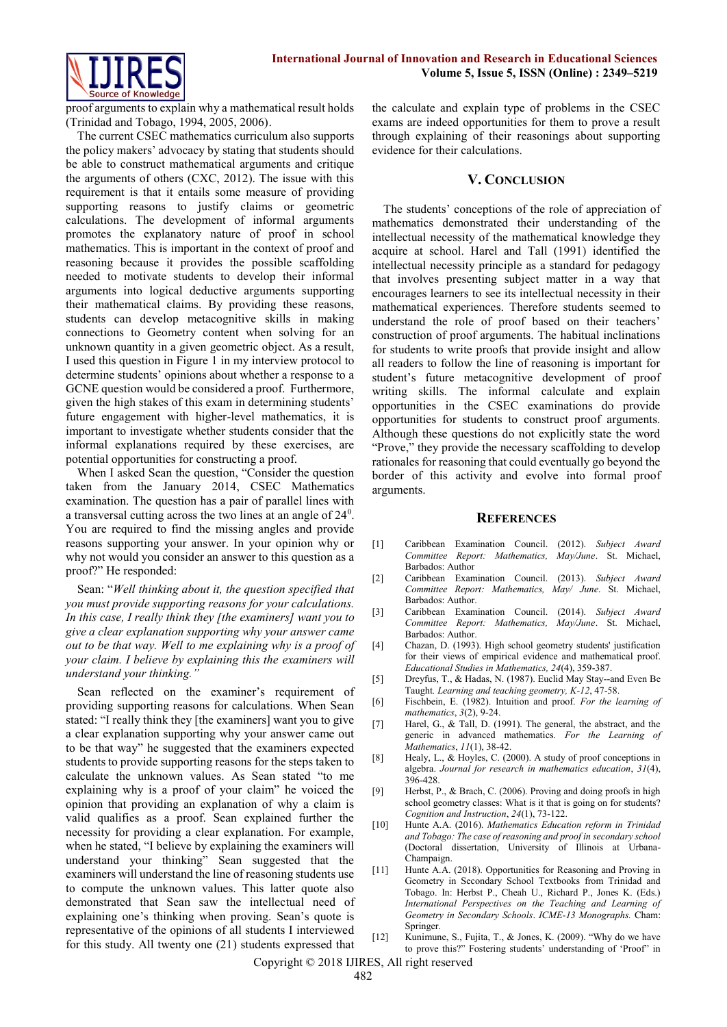

proof arguments to explain why a mathematical result holds (Trinidad and Tobago, 1994, 2005, 2006).

The current CSEC mathematics curriculum also supports the policy makers' advocacy by stating that students should be able to construct mathematical arguments and critique the arguments of others (CXC, 2012). The issue with this requirement is that it entails some measure of providing supporting reasons to justify claims or geometric calculations. The development of informal arguments promotes the explanatory nature of proof in school mathematics. This is important in the context of proof and reasoning because it provides the possible scaffolding needed to motivate students to develop their informal arguments into logical deductive arguments supporting their mathematical claims. By providing these reasons, students can develop metacognitive skills in making connections to Geometry content when solving for an unknown quantity in a given geometric object. As a result, I used this question in Figure 1 in my interview protocol to determine students' opinions about whether a response to a GCNE question would be considered a proof. Furthermore, given the high stakes of this exam in determining students' future engagement with higher-level mathematics, it is important to investigate whether students consider that the informal explanations required by these exercises, are potential opportunities for constructing a proof.

When I asked Sean the question, "Consider the question taken from the January 2014, CSEC Mathematics examination. The question has a pair of parallel lines with a transversal cutting across the two lines at an angle of 24<sup>0</sup>. You are required to find the missing angles and provide reasons supporting your answer. In your opinion why or why not would you consider an answer to this question as a proof?" He responded:

Sean: "*Well thinking about it, the question specified that you must provide supporting reasons for your calculations. In this case, I really think they [the examiners] want you to give a clear explanation supporting why your answer came out to be that way. Well to me explaining why is a proof of your claim. I believe by explaining this the examiners will understand your thinking."*

Sean reflected on the examiner's requirement of providing supporting reasons for calculations. When Sean stated: "I really think they [the examiners] want you to give a clear explanation supporting why your answer came out to be that way" he suggested that the examiners expected students to provide supporting reasons for the steps taken to calculate the unknown values. As Sean stated "to me explaining why is a proof of your claim" he voiced the opinion that providing an explanation of why a claim is valid qualifies as a proof. Sean explained further the necessity for providing a clear explanation. For example, when he stated, "I believe by explaining the examiners will understand your thinking" Sean suggested that the examiners will understand the line of reasoning students use to compute the unknown values. This latter quote also demonstrated that Sean saw the intellectual need of explaining one's thinking when proving. Sean's quote is representative of the opinions of all students I interviewed for this study. All twenty one (21) students expressed that the calculate and explain type of problems in the CSEC exams are indeed opportunities for them to prove a result through explaining of their reasonings about supporting evidence for their calculations.

#### **V. CONCLUSION**

The students' conceptions of the role of appreciation of mathematics demonstrated their understanding of the intellectual necessity of the mathematical knowledge they acquire at school. Harel and Tall (1991) identified the intellectual necessity principle as a standard for pedagogy that involves presenting subject matter in a way that encourages learners to see its intellectual necessity in their mathematical experiences. Therefore students seemed to understand the role of proof based on their teachers' construction of proof arguments. The habitual inclinations for students to write proofs that provide insight and allow all readers to follow the line of reasoning is important for student's future metacognitive development of proof writing skills. The informal calculate and explain opportunities in the CSEC examinations do provide opportunities for students to construct proof arguments. Although these questions do not explicitly state the word "Prove," they provide the necessary scaffolding to develop rationales for reasoning that could eventually go beyond the border of this activity and evolve into formal proof arguments.

#### **REFERENCES**

- [1] Caribbean Examination Council. (2012). *Subject Award Committee Report: Mathematics, May/June*. St. Michael, Barbados: Author
- [2] Caribbean Examination Council. (2013). *Subject Award Committee Report: Mathematics, May/ June*. St. Michael, Barbados: Author.
- [3] Caribbean Examination Council. (2014). *Subject Award Committee Report: Mathematics, May/June*. St. Michael, Barbados: Author.
- [4] Chazan, D. (1993). High school geometry students' justification for their views of empirical evidence and mathematical proof. *Educational Studies in Mathematics, 24*(4), 359-387.
- [5] Dreyfus, T., & Hadas, N. (1987). Euclid May Stay--and Even Be Taught*. Learning and teaching geometry, K-12*, 47-58.
- [6] Fischbein, E. (1982). Intuition and proof. *For the learning of mathematics*, *3*(2), 9-24.
- [7] Harel, G., & Tall, D. (1991). The general, the abstract, and the generic in advanced mathematics. *For the Learning of Mathematics*, *11*(1), 38-42.
- [8] Healy, L., & Hoyles, C. (2000). A study of proof conceptions in algebra. *Journal for research in mathematics education*, *31*(4), 396-428.
- [9] Herbst, P., & Brach, C. (2006). Proving and doing proofs in high school geometry classes: What is it that is going on for students? *Cognition and Instruction*, *24*(1), 73-122.
- [10] Hunte A.A. (2016). *Mathematics Education reform in Trinidad and Tobago: The case of reasoning and proof in secondary school* (Doctoral dissertation, University of Illinois at Urbana-Champaign.
- [11] Hunte A.A. (2018). Opportunities for Reasoning and Proving in Geometry in Secondary School Textbooks from Trinidad and Tobago. In: Herbst P., Cheah U., Richard P., Jones K. (Eds.) *International Perspectives on the Teaching and Learning of Geometry in Secondary Schools*. *ICME-13 Monographs.* Cham: Springer.
- [12] Kunimune, S., Fujita, T., & Jones, K. (2009). "Why do we have to prove this?" Fostering students' understanding of 'Proof" in

Copyright © 2018 IJIRES, All right reserved